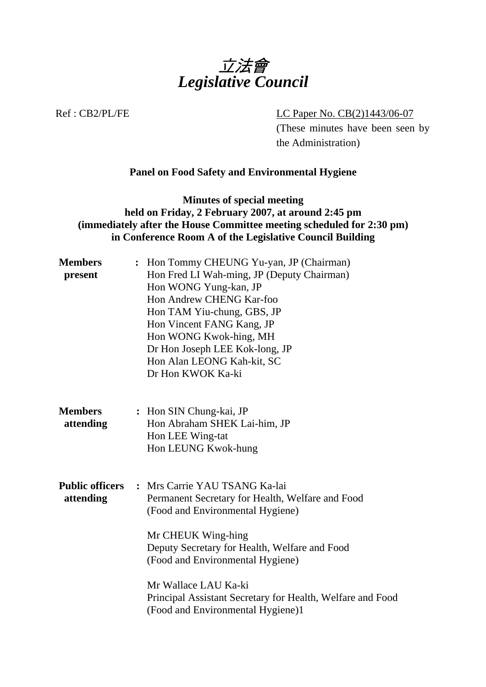

Ref : CB2/PL/FE LC Paper No. CB(2)1443/06-07

(These minutes have been seen by the Administration)

# **Panel on Food Safety and Environmental Hygiene**

# **Minutes of special meeting held on Friday, 2 February 2007, at around 2:45 pm (immediately after the House Committee meeting scheduled for 2:30 pm) in Conference Room A of the Legislative Council Building**

| <b>Members</b><br>present           | Hon Tommy CHEUNG Yu-yan, JP (Chairman)<br>Hon Fred LI Wah-ming, JP (Deputy Chairman)<br>Hon WONG Yung-kan, JP<br>Hon Andrew CHENG Kar-foo<br>Hon TAM Yiu-chung, GBS, JP                                                          |
|-------------------------------------|----------------------------------------------------------------------------------------------------------------------------------------------------------------------------------------------------------------------------------|
|                                     | Hon Vincent FANG Kang, JP<br>Hon WONG Kwok-hing, MH<br>Dr Hon Joseph LEE Kok-long, JP<br>Hon Alan LEONG Kah-kit, SC<br>Dr Hon KWOK Ka-ki                                                                                         |
| <b>Members</b><br>attending         | : Hon SIN Chung-kai, JP<br>Hon Abraham SHEK Lai-him, JP<br>Hon LEE Wing-tat<br>Hon LEUNG Kwok-hung                                                                                                                               |
| <b>Public officers</b><br>attending | : Mrs Carrie YAU TSANG Ka-lai<br>Permanent Secretary for Health, Welfare and Food<br>(Food and Environmental Hygiene)<br>Mr CHEUK Wing-hing<br>Deputy Secretary for Health, Welfare and Food<br>(Food and Environmental Hygiene) |
|                                     | Mr Wallace LAU Ka-ki<br>Principal Assistant Secretary for Health, Welfare and Food<br>(Food and Environmental Hygiene)1                                                                                                          |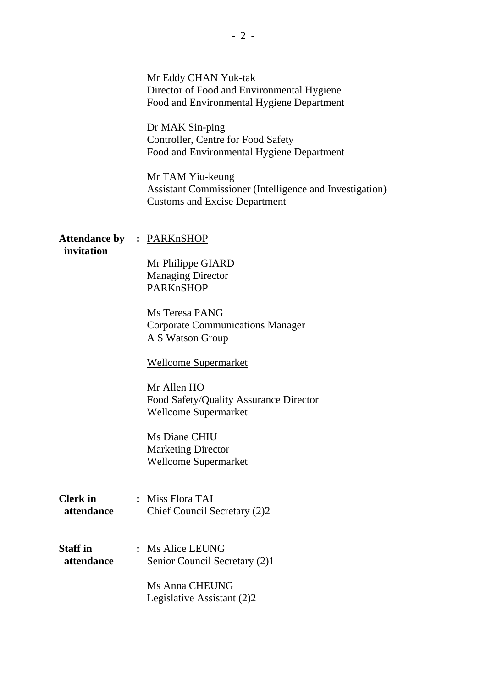| invitation                    | Mr Eddy CHAN Yuk-tak<br>Director of Food and Environmental Hygiene<br>Food and Environmental Hygiene Department<br>Dr MAK Sin-ping<br>Controller, Centre for Food Safety<br>Food and Environmental Hygiene Department<br>Mr TAM Yiu-keung<br>Assistant Commissioner (Intelligence and Investigation)<br><b>Customs and Excise Department</b><br><b>Attendance by : PARKnSHOP</b> |
|-------------------------------|----------------------------------------------------------------------------------------------------------------------------------------------------------------------------------------------------------------------------------------------------------------------------------------------------------------------------------------------------------------------------------|
|                               | Mr Philippe GIARD<br><b>Managing Director</b><br>PARKnSHOP<br>Ms Teresa PANG<br><b>Corporate Communications Manager</b><br>A S Watson Group                                                                                                                                                                                                                                      |
|                               | <b>Wellcome Supermarket</b><br>Mr Allen HO<br>Food Safety/Quality Assurance Director<br><b>Wellcome Supermarket</b><br>Ms Diane CHIU<br><b>Marketing Director</b><br><b>Wellcome Supermarket</b>                                                                                                                                                                                 |
| <b>Clerk</b> in<br>attendance | : Miss Flora TAI<br>Chief Council Secretary (2)2                                                                                                                                                                                                                                                                                                                                 |
| <b>Staff</b> in<br>attendance | : Ms Alice LEUNG<br>Senior Council Secretary (2)1<br>Ms Anna CHEUNG<br>Legislative Assistant (2)2                                                                                                                                                                                                                                                                                |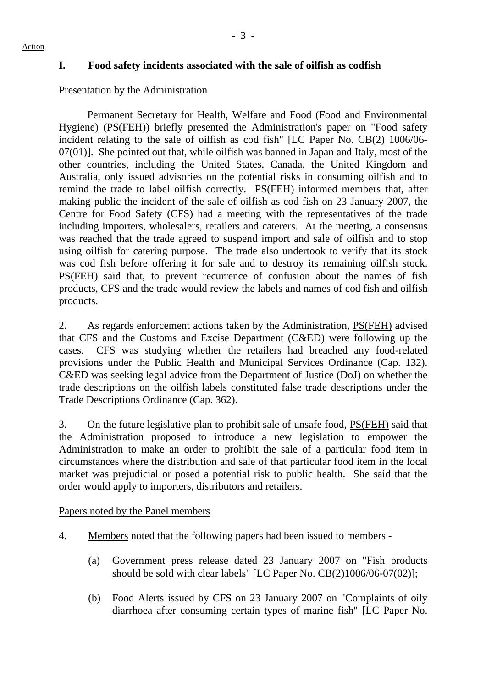# **I. Food safety incidents associated with the sale of oilfish as codfish**

# Presentation by the Administration

Permanent Secretary for Health, Welfare and Food (Food and Environmental Hygiene) (PS(FEH)) briefly presented the Administration's paper on "Food safety incident relating to the sale of oilfish as cod fish" [LC Paper No. CB(2) 1006/06- 07(01)]. She pointed out that, while oilfish was banned in Japan and Italy, most of the other countries, including the United States, Canada, the United Kingdom and Australia, only issued advisories on the potential risks in consuming oilfish and to remind the trade to label oilfish correctly. PS(FEH) informed members that, after making public the incident of the sale of oilfish as cod fish on 23 January 2007, the Centre for Food Safety (CFS) had a meeting with the representatives of the trade including importers, wholesalers, retailers and caterers. At the meeting, a consensus was reached that the trade agreed to suspend import and sale of oilfish and to stop using oilfish for catering purpose. The trade also undertook to verify that its stock was cod fish before offering it for sale and to destroy its remaining oilfish stock. PS(FEH) said that, to prevent recurrence of confusion about the names of fish products, CFS and the trade would review the labels and names of cod fish and oilfish products.

2. As regards enforcement actions taken by the Administration, PS(FEH) advised that CFS and the Customs and Excise Department (C&ED) were following up the cases. CFS was studying whether the retailers had breached any food-related provisions under the Public Health and Municipal Services Ordinance (Cap. 132). C&ED was seeking legal advice from the Department of Justice (DoJ) on whether the trade descriptions on the oilfish labels constituted false trade descriptions under the Trade Descriptions Ordinance (Cap. 362).

3. On the future legislative plan to prohibit sale of unsafe food, PS(FEH) said that the Administration proposed to introduce a new legislation to empower the Administration to make an order to prohibit the sale of a particular food item in circumstances where the distribution and sale of that particular food item in the local market was prejudicial or posed a potential risk to public health. She said that the order would apply to importers, distributors and retailers.

# Papers noted by the Panel members

- 4. Members noted that the following papers had been issued to members
	- (a) Government press release dated 23 January 2007 on "Fish products should be sold with clear labels" [LC Paper No. CB(2)1006/06-07(02)];
	- (b) Food Alerts issued by CFS on 23 January 2007 on "Complaints of oily diarrhoea after consuming certain types of marine fish" [LC Paper No.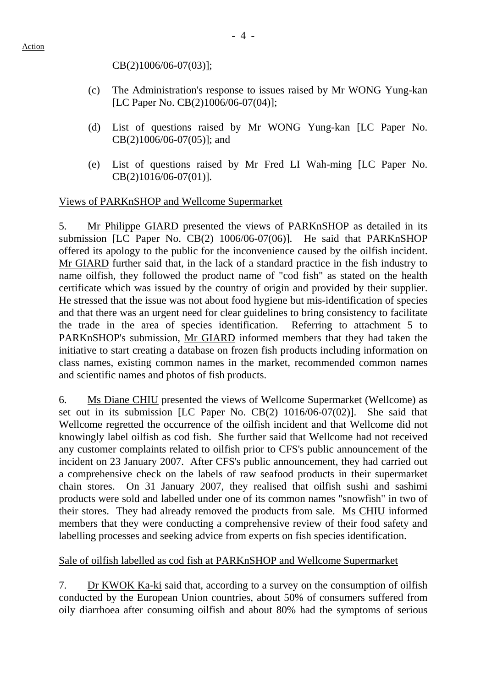CB(2)1006/06-07(03)];

- (c) The Administration's response to issues raised by Mr WONG Yung-kan [LC Paper No. CB(2)1006/06-07(04)];
- (d) List of questions raised by Mr WONG Yung-kan [LC Paper No. CB(2)1006/06-07(05)]; and
- (e) List of questions raised by Mr Fred LI Wah-ming [LC Paper No. CB(2)1016/06-07(01)].

### Views of PARKnSHOP and Wellcome Supermarket

5. Mr Philippe GIARD presented the views of PARKnSHOP as detailed in its submission [LC Paper No. CB(2) 1006/06-07(06)]. He said that PARKnSHOP offered its apology to the public for the inconvenience caused by the oilfish incident. Mr GIARD further said that, in the lack of a standard practice in the fish industry to name oilfish, they followed the product name of "cod fish" as stated on the health certificate which was issued by the country of origin and provided by their supplier. He stressed that the issue was not about food hygiene but mis-identification of species and that there was an urgent need for clear guidelines to bring consistency to facilitate the trade in the area of species identification. Referring to attachment 5 to PARKnSHOP's submission, Mr GIARD informed members that they had taken the initiative to start creating a database on frozen fish products including information on class names, existing common names in the market, recommended common names and scientific names and photos of fish products.

6. Ms Diane CHIU presented the views of Wellcome Supermarket (Wellcome) as set out in its submission [LC Paper No. CB(2) 1016/06-07(02)]. She said that Wellcome regretted the occurrence of the oilfish incident and that Wellcome did not knowingly label oilfish as cod fish. She further said that Wellcome had not received any customer complaints related to oilfish prior to CFS's public announcement of the incident on 23 January 2007. After CFS's public announcement, they had carried out a comprehensive check on the labels of raw seafood products in their supermarket chain stores. On 31 January 2007, they realised that oilfish sushi and sashimi products were sold and labelled under one of its common names "snowfish" in two of their stores. They had already removed the products from sale. Ms CHIU informed members that they were conducting a comprehensive review of their food safety and labelling processes and seeking advice from experts on fish species identification.

# Sale of oilfish labelled as cod fish at PARKnSHOP and Wellcome Supermarket

7. Dr KWOK Ka-ki said that, according to a survey on the consumption of oilfish conducted by the European Union countries, about 50% of consumers suffered from oily diarrhoea after consuming oilfish and about 80% had the symptoms of serious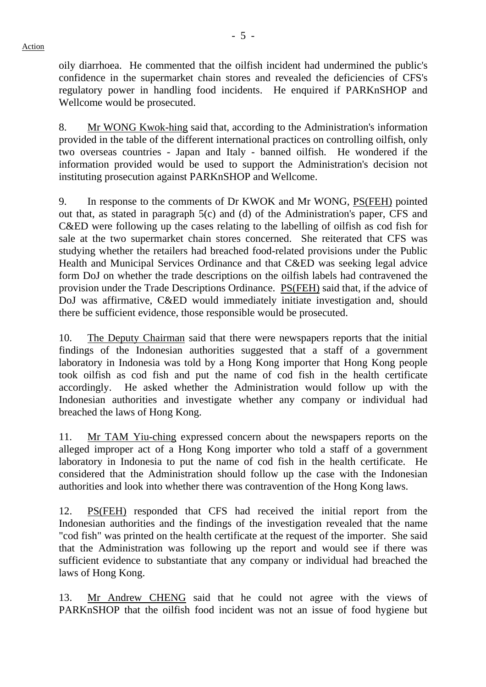Action

oily diarrhoea. He commented that the oilfish incident had undermined the public's confidence in the supermarket chain stores and revealed the deficiencies of CFS's regulatory power in handling food incidents. He enquired if PARKnSHOP and Wellcome would be prosecuted.

8. Mr WONG Kwok-hing said that, according to the Administration's information provided in the table of the different international practices on controlling oilfish, only two overseas countries - Japan and Italy - banned oilfish. He wondered if the information provided would be used to support the Administration's decision not instituting prosecution against PARKnSHOP and Wellcome.

9. In response to the comments of Dr KWOK and Mr WONG, PS(FEH) pointed out that, as stated in paragraph 5(c) and (d) of the Administration's paper, CFS and C&ED were following up the cases relating to the labelling of oilfish as cod fish for sale at the two supermarket chain stores concerned. She reiterated that CFS was studying whether the retailers had breached food-related provisions under the Public Health and Municipal Services Ordinance and that C&ED was seeking legal advice form DoJ on whether the trade descriptions on the oilfish labels had contravened the provision under the Trade Descriptions Ordinance. PS(FEH) said that, if the advice of DoJ was affirmative, C&ED would immediately initiate investigation and, should there be sufficient evidence, those responsible would be prosecuted.

10. The Deputy Chairman said that there were newspapers reports that the initial findings of the Indonesian authorities suggested that a staff of a government laboratory in Indonesia was told by a Hong Kong importer that Hong Kong people took oilfish as cod fish and put the name of cod fish in the health certificate accordingly. He asked whether the Administration would follow up with the Indonesian authorities and investigate whether any company or individual had breached the laws of Hong Kong.

11. Mr TAM Yiu-ching expressed concern about the newspapers reports on the alleged improper act of a Hong Kong importer who told a staff of a government laboratory in Indonesia to put the name of cod fish in the health certificate. He considered that the Administration should follow up the case with the Indonesian authorities and look into whether there was contravention of the Hong Kong laws.

12. PS(FEH) responded that CFS had received the initial report from the Indonesian authorities and the findings of the investigation revealed that the name "cod fish" was printed on the health certificate at the request of the importer. She said that the Administration was following up the report and would see if there was sufficient evidence to substantiate that any company or individual had breached the laws of Hong Kong.

13. Mr Andrew CHENG said that he could not agree with the views of PARKnSHOP that the oilfish food incident was not an issue of food hygiene but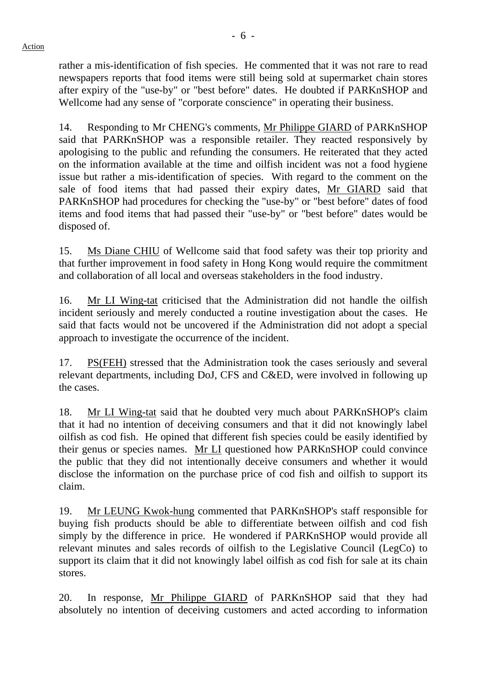rather a mis-identification of fish species. He commented that it was not rare to read newspapers reports that food items were still being sold at supermarket chain stores after expiry of the "use-by" or "best before" dates. He doubted if PARKnSHOP and Wellcome had any sense of "corporate conscience" in operating their business.

14. Responding to Mr CHENG's comments, Mr Philippe GIARD of PARKnSHOP said that PARKnSHOP was a responsible retailer. They reacted responsively by apologising to the public and refunding the consumers. He reiterated that they acted on the information available at the time and oilfish incident was not a food hygiene issue but rather a mis-identification of species. With regard to the comment on the sale of food items that had passed their expiry dates, Mr GIARD said that PARKnSHOP had procedures for checking the "use-by" or "best before" dates of food items and food items that had passed their "use-by" or "best before" dates would be disposed of.

15. Ms Diane CHIU of Wellcome said that food safety was their top priority and that further improvement in food safety in Hong Kong would require the commitment and collaboration of all local and overseas stakeholders in the food industry.

16. Mr LI Wing-tat criticised that the Administration did not handle the oilfish incident seriously and merely conducted a routine investigation about the cases. He said that facts would not be uncovered if the Administration did not adopt a special approach to investigate the occurrence of the incident.

17. PS(FEH) stressed that the Administration took the cases seriously and several relevant departments, including DoJ, CFS and C&ED, were involved in following up the cases.

18. Mr LI Wing-tat said that he doubted very much about PARKnSHOP's claim that it had no intention of deceiving consumers and that it did not knowingly label oilfish as cod fish. He opined that different fish species could be easily identified by their genus or species names. Mr LI questioned how PARKnSHOP could convince the public that they did not intentionally deceive consumers and whether it would disclose the information on the purchase price of cod fish and oilfish to support its claim.

19. Mr LEUNG Kwok-hung commented that PARKnSHOP's staff responsible for buying fish products should be able to differentiate between oilfish and cod fish simply by the difference in price. He wondered if PARKnSHOP would provide all relevant minutes and sales records of oilfish to the Legislative Council (LegCo) to support its claim that it did not knowingly label oilfish as cod fish for sale at its chain stores.

20. In response, Mr Philippe GIARD of PARKnSHOP said that they had absolutely no intention of deceiving customers and acted according to information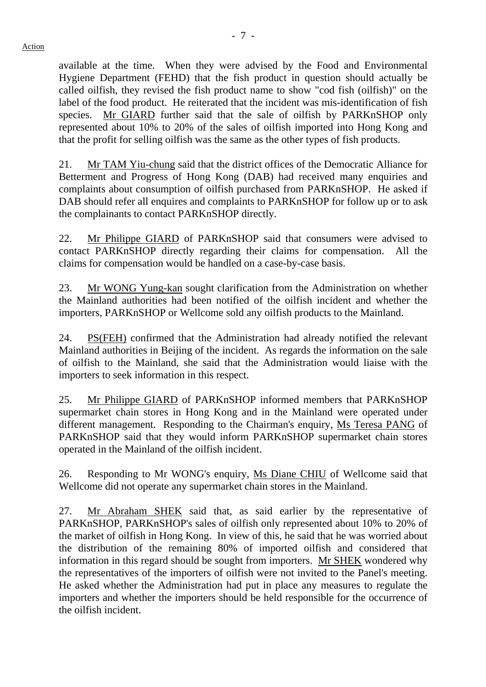available at the time. When they were advised by the Food and Environmental Hygiene Department (FEHD) that the fish product in question should actually be called oilfish, they revised the fish product name to show "cod fish (oilfish)" on the label of the food product. He reiterated that the incident was mis-identification of fish species. Mr GIARD further said that the sale of oilfish by PARKnSHOP only represented about 10% to 20% of the sales of oilfish imported into Hong Kong and that the profit for selling oilfish was the same as the other types of fish products.

21. Mr TAM Yiu-chung said that the district offices of the Democratic Alliance for Betterment and Progress of Hong Kong (DAB) had received many enquiries and complaints about consumption of oilfish purchased from PARKnSHOP. He asked if DAB should refer all enquires and complaints to PARKnSHOP for follow up or to ask the complainants to contact PARKnSHOP directly.

22. Mr Philippe GIARD of PARKnSHOP said that consumers were advised to contact PARKnSHOP directly regarding their claims for compensation. All the claims for compensation would be handled on a case-by-case basis.

23. Mr WONG Yung-kan sought clarification from the Administration on whether the Mainland authorities had been notified of the oilfish incident and whether the importers, PARKnSHOP or Wellcome sold any oilfish products to the Mainland.

24. PS(FEH) confirmed that the Administration had already notified the relevant Mainland authorities in Beijing of the incident. As regards the information on the sale of oilfish to the Mainland, she said that the Administration would liaise with the importers to seek information in this respect.

25. Mr Philippe GIARD of PARKnSHOP informed members that PARKnSHOP supermarket chain stores in Hong Kong and in the Mainland were operated under different management. Responding to the Chairman's enquiry, Ms Teresa PANG of PARKnSHOP said that they would inform PARKnSHOP supermarket chain stores operated in the Mainland of the oilfish incident.

26. Responding to Mr WONG's enquiry, Ms Diane CHIU of Wellcome said that Wellcome did not operate any supermarket chain stores in the Mainland.

27. Mr Abraham SHEK said that, as said earlier by the representative of PARKnSHOP, PARKnSHOP's sales of oilfish only represented about 10% to 20% of the market of oilfish in Hong Kong. In view of this, he said that he was worried about the distribution of the remaining 80% of imported oilfish and considered that information in this regard should be sought from importers. Mr SHEK wondered why the representatives of the importers of oilfish were not invited to the Panel's meeting. He asked whether the Administration had put in place any measures to regulate the importers and whether the importers should be held responsible for the occurrence of the oilfish incident.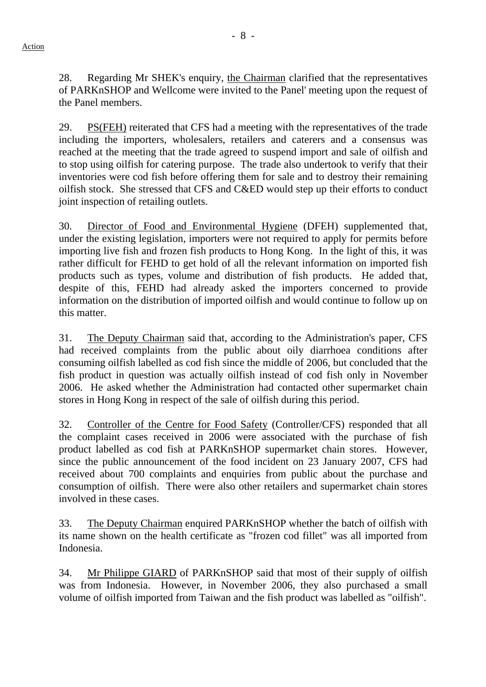28. Regarding Mr SHEK's enquiry, the Chairman clarified that the representatives of PARKnSHOP and Wellcome were invited to the Panel' meeting upon the request of the Panel members.

29. PS(FEH) reiterated that CFS had a meeting with the representatives of the trade including the importers, wholesalers, retailers and caterers and a consensus was reached at the meeting that the trade agreed to suspend import and sale of oilfish and to stop using oilfish for catering purpose. The trade also undertook to verify that their inventories were cod fish before offering them for sale and to destroy their remaining oilfish stock. She stressed that CFS and C&ED would step up their efforts to conduct joint inspection of retailing outlets.

30. Director of Food and Environmental Hygiene (DFEH) supplemented that, under the existing legislation, importers were not required to apply for permits before importing live fish and frozen fish products to Hong Kong. In the light of this, it was rather difficult for FEHD to get hold of all the relevant information on imported fish products such as types, volume and distribution of fish products. He added that, despite of this, FEHD had already asked the importers concerned to provide information on the distribution of imported oilfish and would continue to follow up on this matter.

31. The Deputy Chairman said that, according to the Administration's paper, CFS had received complaints from the public about oily diarrhoea conditions after consuming oilfish labelled as cod fish since the middle of 2006, but concluded that the fish product in question was actually oilfish instead of cod fish only in November 2006. He asked whether the Administration had contacted other supermarket chain stores in Hong Kong in respect of the sale of oilfish during this period.

32. Controller of the Centre for Food Safety (Controller/CFS) responded that all the complaint cases received in 2006 were associated with the purchase of fish product labelled as cod fish at PARKnSHOP supermarket chain stores. However, since the public announcement of the food incident on 23 January 2007, CFS had received about 700 complaints and enquiries from public about the purchase and consumption of oilfish. There were also other retailers and supermarket chain stores involved in these cases.

33. The Deputy Chairman enquired PARKnSHOP whether the batch of oilfish with its name shown on the health certificate as "frozen cod fillet" was all imported from Indonesia.

34. Mr Philippe GIARD of PARKnSHOP said that most of their supply of oilfish was from Indonesia. However, in November 2006, they also purchased a small volume of oilfish imported from Taiwan and the fish product was labelled as "oilfish".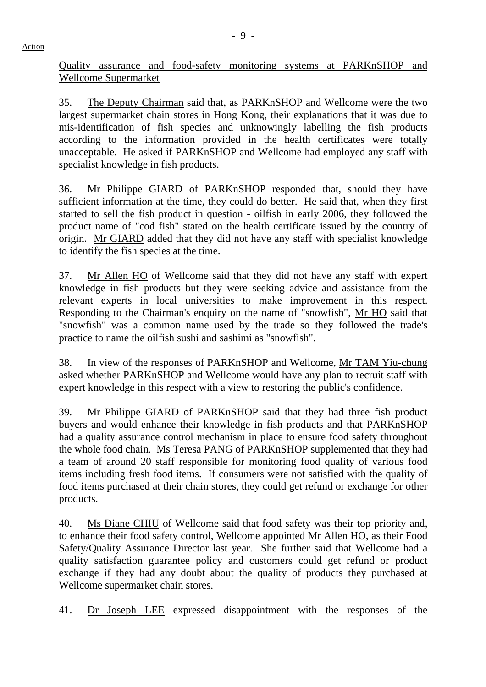Action

Quality assurance and food-safety monitoring systems at PARKnSHOP and Wellcome Supermarket

35. The Deputy Chairman said that, as PARKnSHOP and Wellcome were the two largest supermarket chain stores in Hong Kong, their explanations that it was due to mis-identification of fish species and unknowingly labelling the fish products according to the information provided in the health certificates were totally unacceptable. He asked if PARKnSHOP and Wellcome had employed any staff with specialist knowledge in fish products.

36. Mr Philippe GIARD of PARKnSHOP responded that, should they have sufficient information at the time, they could do better. He said that, when they first started to sell the fish product in question - oilfish in early 2006, they followed the product name of "cod fish" stated on the health certificate issued by the country of origin. Mr GIARD added that they did not have any staff with specialist knowledge to identify the fish species at the time.

37. Mr Allen HO of Wellcome said that they did not have any staff with expert knowledge in fish products but they were seeking advice and assistance from the relevant experts in local universities to make improvement in this respect. Responding to the Chairman's enquiry on the name of "snowfish", Mr HO said that "snowfish" was a common name used by the trade so they followed the trade's practice to name the oilfish sushi and sashimi as "snowfish".

38. In view of the responses of PARKnSHOP and Wellcome, Mr TAM Yiu-chung asked whether PARKnSHOP and Wellcome would have any plan to recruit staff with expert knowledge in this respect with a view to restoring the public's confidence.

39. Mr Philippe GIARD of PARKnSHOP said that they had three fish product buyers and would enhance their knowledge in fish products and that PARKnSHOP had a quality assurance control mechanism in place to ensure food safety throughout the whole food chain. Ms Teresa PANG of PARKnSHOP supplemented that they had a team of around 20 staff responsible for monitoring food quality of various food items including fresh food items. If consumers were not satisfied with the quality of food items purchased at their chain stores, they could get refund or exchange for other products.

40. Ms Diane CHIU of Wellcome said that food safety was their top priority and, to enhance their food safety control, Wellcome appointed Mr Allen HO, as their Food Safety/Quality Assurance Director last year. She further said that Wellcome had a quality satisfaction guarantee policy and customers could get refund or product exchange if they had any doubt about the quality of products they purchased at Wellcome supermarket chain stores.

41. Dr Joseph LEE expressed disappointment with the responses of the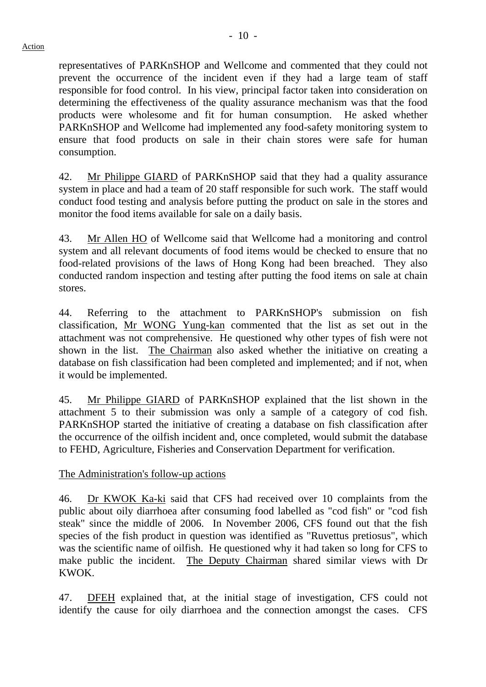representatives of PARKnSHOP and Wellcome and commented that they could not prevent the occurrence of the incident even if they had a large team of staff responsible for food control. In his view, principal factor taken into consideration on determining the effectiveness of the quality assurance mechanism was that the food products were wholesome and fit for human consumption. He asked whether PARKnSHOP and Wellcome had implemented any food-safety monitoring system to ensure that food products on sale in their chain stores were safe for human consumption.

42. Mr Philippe GIARD of PARKnSHOP said that they had a quality assurance system in place and had a team of 20 staff responsible for such work. The staff would conduct food testing and analysis before putting the product on sale in the stores and monitor the food items available for sale on a daily basis.

43. Mr Allen HO of Wellcome said that Wellcome had a monitoring and control system and all relevant documents of food items would be checked to ensure that no food-related provisions of the laws of Hong Kong had been breached. They also conducted random inspection and testing after putting the food items on sale at chain stores.

44. Referring to the attachment to PARKnSHOP's submission on fish classification, Mr WONG Yung-kan commented that the list as set out in the attachment was not comprehensive. He questioned why other types of fish were not shown in the list. The Chairman also asked whether the initiative on creating a database on fish classification had been completed and implemented; and if not, when it would be implemented.

45. Mr Philippe GIARD of PARKnSHOP explained that the list shown in the attachment 5 to their submission was only a sample of a category of cod fish. PARKnSHOP started the initiative of creating a database on fish classification after the occurrence of the oilfish incident and, once completed, would submit the database to FEHD, Agriculture, Fisheries and Conservation Department for verification.

The Administration's follow-up actions

46. Dr KWOK Ka-ki said that CFS had received over 10 complaints from the public about oily diarrhoea after consuming food labelled as "cod fish" or "cod fish steak" since the middle of 2006. In November 2006, CFS found out that the fish species of the fish product in question was identified as "Ruvettus pretiosus", which was the scientific name of oilfish. He questioned why it had taken so long for CFS to make public the incident. The Deputy Chairman shared similar views with Dr KWOK.

47. DFEH explained that, at the initial stage of investigation, CFS could not identify the cause for oily diarrhoea and the connection amongst the cases. CFS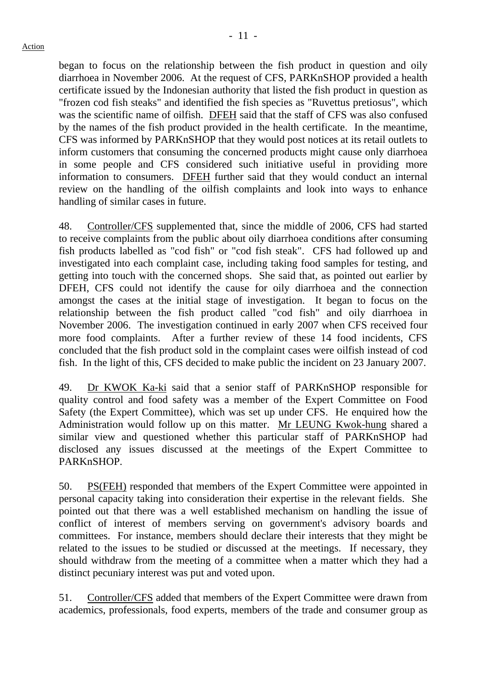began to focus on the relationship between the fish product in question and oily diarrhoea in November 2006. At the request of CFS, PARKnSHOP provided a health certificate issued by the Indonesian authority that listed the fish product in question as "frozen cod fish steaks" and identified the fish species as "Ruvettus pretiosus", which was the scientific name of oilfish. DFEH said that the staff of CFS was also confused by the names of the fish product provided in the health certificate. In the meantime, CFS was informed by PARKnSHOP that they would post notices at its retail outlets to inform customers that consuming the concerned products might cause only diarrhoea in some people and CFS considered such initiative useful in providing more information to consumers. DFEH further said that they would conduct an internal review on the handling of the oilfish complaints and look into ways to enhance handling of similar cases in future.

48. Controller/CFS supplemented that, since the middle of 2006, CFS had started to receive complaints from the public about oily diarrhoea conditions after consuming fish products labelled as "cod fish" or "cod fish steak". CFS had followed up and investigated into each complaint case, including taking food samples for testing, and getting into touch with the concerned shops. She said that, as pointed out earlier by DFEH, CFS could not identify the cause for oily diarrhoea and the connection amongst the cases at the initial stage of investigation. It began to focus on the relationship between the fish product called "cod fish" and oily diarrhoea in November 2006. The investigation continued in early 2007 when CFS received four more food complaints. After a further review of these 14 food incidents, CFS concluded that the fish product sold in the complaint cases were oilfish instead of cod fish. In the light of this, CFS decided to make public the incident on 23 January 2007.

49. Dr KWOK Ka-ki said that a senior staff of PARKnSHOP responsible for quality control and food safety was a member of the Expert Committee on Food Safety (the Expert Committee), which was set up under CFS. He enquired how the Administration would follow up on this matter. Mr LEUNG Kwok-hung shared a similar view and questioned whether this particular staff of PARKnSHOP had disclosed any issues discussed at the meetings of the Expert Committee to PARKnSHOP.

50. PS(FEH) responded that members of the Expert Committee were appointed in personal capacity taking into consideration their expertise in the relevant fields. She pointed out that there was a well established mechanism on handling the issue of conflict of interest of members serving on government's advisory boards and committees. For instance, members should declare their interests that they might be related to the issues to be studied or discussed at the meetings. If necessary, they should withdraw from the meeting of a committee when a matter which they had a distinct pecuniary interest was put and voted upon.

51. Controller/CFS added that members of the Expert Committee were drawn from academics, professionals, food experts, members of the trade and consumer group as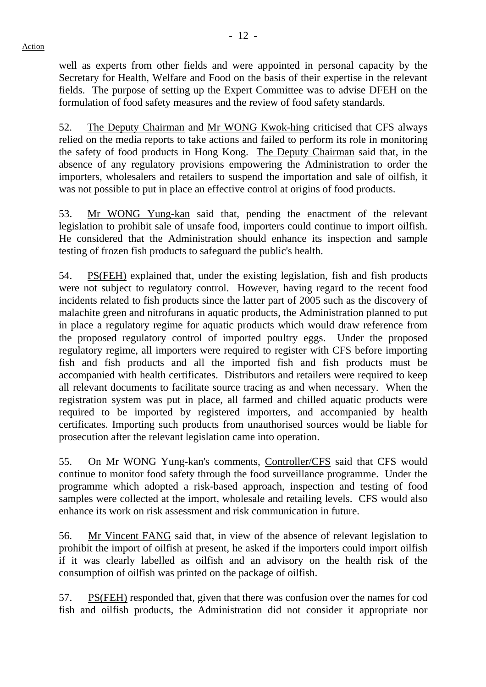well as experts from other fields and were appointed in personal capacity by the Secretary for Health, Welfare and Food on the basis of their expertise in the relevant fields. The purpose of setting up the Expert Committee was to advise DFEH on the formulation of food safety measures and the review of food safety standards.

52. The Deputy Chairman and Mr WONG Kwok-hing criticised that CFS always relied on the media reports to take actions and failed to perform its role in monitoring the safety of food products in Hong Kong. The Deputy Chairman said that, in the absence of any regulatory provisions empowering the Administration to order the importers, wholesalers and retailers to suspend the importation and sale of oilfish, it was not possible to put in place an effective control at origins of food products.

53. Mr WONG Yung-kan said that, pending the enactment of the relevant legislation to prohibit sale of unsafe food, importers could continue to import oilfish. He considered that the Administration should enhance its inspection and sample testing of frozen fish products to safeguard the public's health.

54. PS(FEH) explained that, under the existing legislation, fish and fish products were not subject to regulatory control. However, having regard to the recent food incidents related to fish products since the latter part of 2005 such as the discovery of malachite green and nitrofurans in aquatic products, the Administration planned to put in place a regulatory regime for aquatic products which would draw reference from the proposed regulatory control of imported poultry eggs. Under the proposed regulatory regime, all importers were required to register with CFS before importing fish and fish products and all the imported fish and fish products must be accompanied with health certificates. Distributors and retailers were required to keep all relevant documents to facilitate source tracing as and when necessary. When the registration system was put in place, all farmed and chilled aquatic products were required to be imported by registered importers, and accompanied by health certificates. Importing such products from unauthorised sources would be liable for prosecution after the relevant legislation came into operation.

55. On Mr WONG Yung-kan's comments, Controller/CFS said that CFS would continue to monitor food safety through the food surveillance programme. Under the programme which adopted a risk-based approach, inspection and testing of food samples were collected at the import, wholesale and retailing levels. CFS would also enhance its work on risk assessment and risk communication in future.

56. Mr Vincent FANG said that, in view of the absence of relevant legislation to prohibit the import of oilfish at present, he asked if the importers could import oilfish if it was clearly labelled as oilfish and an advisory on the health risk of the consumption of oilfish was printed on the package of oilfish.

57. PS(FEH) responded that, given that there was confusion over the names for cod fish and oilfish products, the Administration did not consider it appropriate nor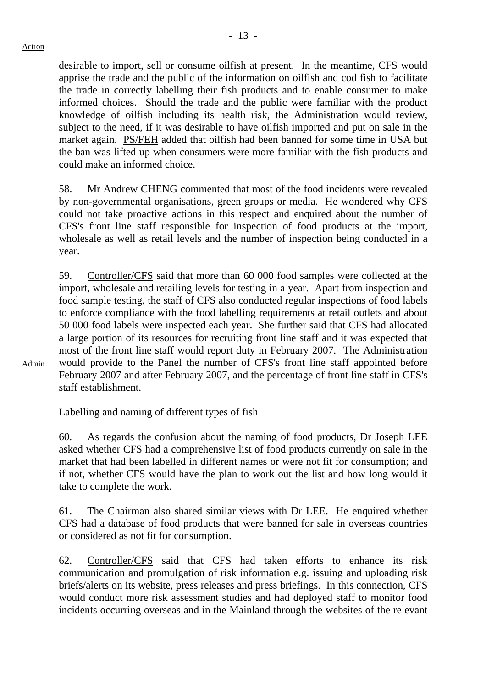#### Action

Admin

desirable to import, sell or consume oilfish at present. In the meantime, CFS would apprise the trade and the public of the information on oilfish and cod fish to facilitate the trade in correctly labelling their fish products and to enable consumer to make informed choices. Should the trade and the public were familiar with the product knowledge of oilfish including its health risk, the Administration would review, subject to the need, if it was desirable to have oilfish imported and put on sale in the market again. PS/FEH added that oilfish had been banned for some time in USA but the ban was lifted up when consumers were more familiar with the fish products and could make an informed choice.

58. Mr Andrew CHENG commented that most of the food incidents were revealed by non-governmental organisations, green groups or media. He wondered why CFS could not take proactive actions in this respect and enquired about the number of CFS's front line staff responsible for inspection of food products at the import, wholesale as well as retail levels and the number of inspection being conducted in a year.

59. Controller/CFS said that more than 60 000 food samples were collected at the import, wholesale and retailing levels for testing in a year. Apart from inspection and food sample testing, the staff of CFS also conducted regular inspections of food labels to enforce compliance with the food labelling requirements at retail outlets and about 50 000 food labels were inspected each year. She further said that CFS had allocated a large portion of its resources for recruiting front line staff and it was expected that most of the front line staff would report duty in February 2007. The Administration would provide to the Panel the number of CFS's front line staff appointed before February 2007 and after February 2007, and the percentage of front line staff in CFS's staff establishment.

# Labelling and naming of different types of fish

60. As regards the confusion about the naming of food products, Dr Joseph LEE asked whether CFS had a comprehensive list of food products currently on sale in the market that had been labelled in different names or were not fit for consumption; and if not, whether CFS would have the plan to work out the list and how long would it take to complete the work.

61. The Chairman also shared similar views with Dr LEE. He enquired whether CFS had a database of food products that were banned for sale in overseas countries or considered as not fit for consumption.

62. Controller/CFS said that CFS had taken efforts to enhance its risk communication and promulgation of risk information e.g. issuing and uploading risk briefs/alerts on its website, press releases and press briefings. In this connection, CFS would conduct more risk assessment studies and had deployed staff to monitor food incidents occurring overseas and in the Mainland through the websites of the relevant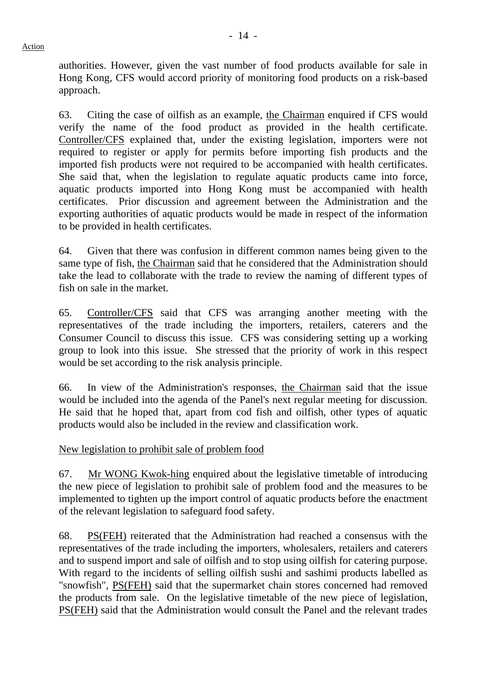authorities. However, given the vast number of food products available for sale in Hong Kong, CFS would accord priority of monitoring food products on a risk-based approach.

63. Citing the case of oilfish as an example, the Chairman enquired if CFS would verify the name of the food product as provided in the health certificate. Controller/CFS explained that, under the existing legislation, importers were not required to register or apply for permits before importing fish products and the imported fish products were not required to be accompanied with health certificates. She said that, when the legislation to regulate aquatic products came into force, aquatic products imported into Hong Kong must be accompanied with health certificates. Prior discussion and agreement between the Administration and the exporting authorities of aquatic products would be made in respect of the information to be provided in health certificates.

64. Given that there was confusion in different common names being given to the same type of fish, the Chairman said that he considered that the Administration should take the lead to collaborate with the trade to review the naming of different types of fish on sale in the market.

65. Controller/CFS said that CFS was arranging another meeting with the representatives of the trade including the importers, retailers, caterers and the Consumer Council to discuss this issue. CFS was considering setting up a working group to look into this issue. She stressed that the priority of work in this respect would be set according to the risk analysis principle.

66. In view of the Administration's responses, the Chairman said that the issue would be included into the agenda of the Panel's next regular meeting for discussion. He said that he hoped that, apart from cod fish and oilfish, other types of aquatic products would also be included in the review and classification work.

New legislation to prohibit sale of problem food

67. Mr WONG Kwok-hing enquired about the legislative timetable of introducing the new piece of legislation to prohibit sale of problem food and the measures to be implemented to tighten up the import control of aquatic products before the enactment of the relevant legislation to safeguard food safety.

68. PS(FEH) reiterated that the Administration had reached a consensus with the representatives of the trade including the importers, wholesalers, retailers and caterers and to suspend import and sale of oilfish and to stop using oilfish for catering purpose. With regard to the incidents of selling oilfish sushi and sashimi products labelled as "snowfish", PS(FEH) said that the supermarket chain stores concerned had removed the products from sale. On the legislative timetable of the new piece of legislation, PS(FEH) said that the Administration would consult the Panel and the relevant trades